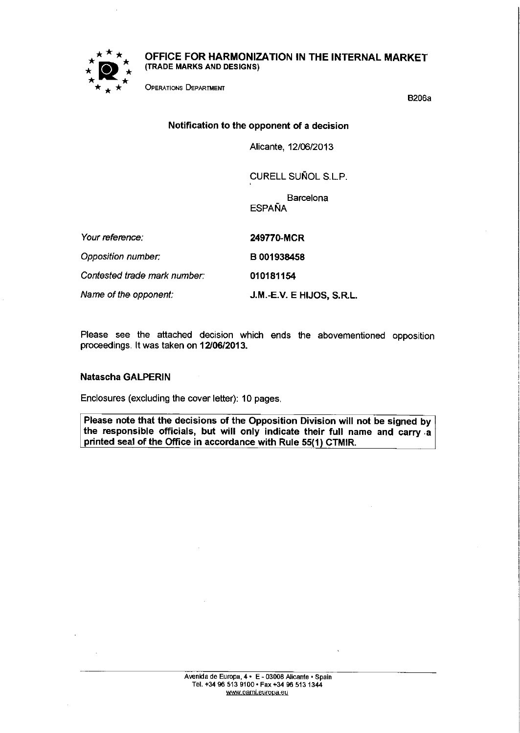

OFFICE FOR HARMONIZATION IN THE INTERNAL MARKET (TRADE MARKS AND DESIGNS)

OPERATIONS DEPARTMENT

B206a

# Notification to the opponent of a decision

Alicante, 12/06/2013

CURELL SUÑOL S.L.P.

**Barcelona ESPAÑA** 

| Your reference:              | 249770-MCR                |
|------------------------------|---------------------------|
| Opposition number:           | B001938458                |
| Contested trade mark number: | 010181154                 |
| Name of the opponent.        | J.M.-E.V. E HIJOS, S.R.L. |

Please see the attached decision which ends the abovementioned opposition proceedings. It was taken on 12/06/2013.

# Natascha GALPERIN

Enclosures (excluding the cover letter): 10 pages.

Please note that the decisions of the Opposition Division will not be signed by the responsible officials, but will only indicate their full name and carry a printed seal of the Office in accordance with Rule 55(1) CTMIR.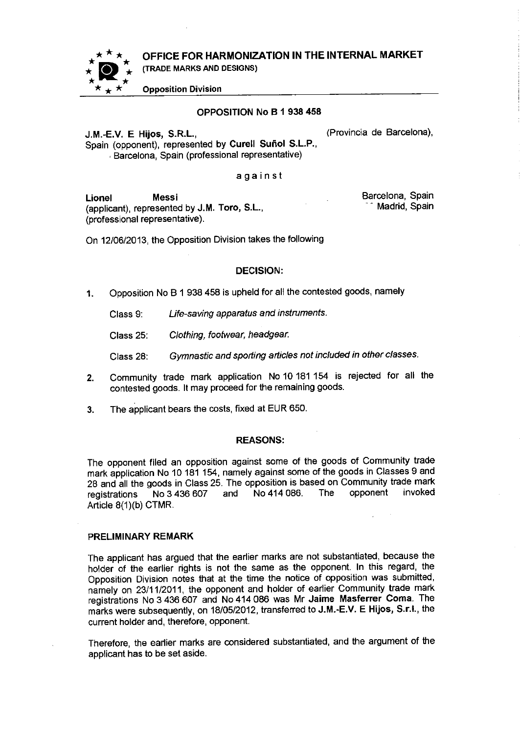OFFICE FOR HARMONIZATION IN THE INTERNAL MARKET



(TRADE MARKS AND DESIGNS)

Opposition Division

## OPPOSITION No B 1938 458

J.M.-E.V. E Hijos, S.R.L., (Provincia de Barcelona), Spain (opponent), represented by Curell Suñol S.L.P., Barcelona, Spain (professional representative)

against

Lionel Messi (applicant), represented by J.M. Toro, S.L., (professional representative).

Barcelona, Spain Madrid, Spain

On 12/06/2013, the Opposition Division takes the following

## DECISION:

1. Opposition No B 1938 458 is upheld for all the contested goods, namely

Class 9: Life-saving apparatus and instruments.

Class 25: Clothing, footwear, headgear.

Class 28: Gymnastic and sporting articles not included in other classes.

- 2. Community trade mark application No 10 181 154 is rejected for all the contested goods. It may proceed for the remaining goods.
- 3. The applicant bears the costs, fixed at EUR 650.

## REASONS:

The opponent filed an opposition against some of the goods of Community trade mark application No 10 181 154, namely against some of the goods in Classes 9 and 28 and all the goods in Class 25. The opposition is based on Community trade mark<br>registrations No 3 436 607 and No 414 086. The opponent invoked registrations No 3 436 607 and Article 8(1)(b) CTMR.

## PRELIMINARY REMARK

The applicant has argued that the earlier marks are not substantiated, because the holder of the earlier rights is not the same as the opponent. In this regard, the Opposition Division notes that at the time the notice of opposition was submitted, namely on 23/11/2011, the opponent and holder of earlier Community trade mark registrations No 3 436 607 and No 414 086 was Mr Jaime Masferrer Coma. The marks were subsequently, on 18/05/2012, transferred to J.M.-E.V. E Hijos, S.r.l., the current holder and, therefore, opponent.

Therefore, the earlier marks are considered substantiated, and the argument of the applicant has to be set aside.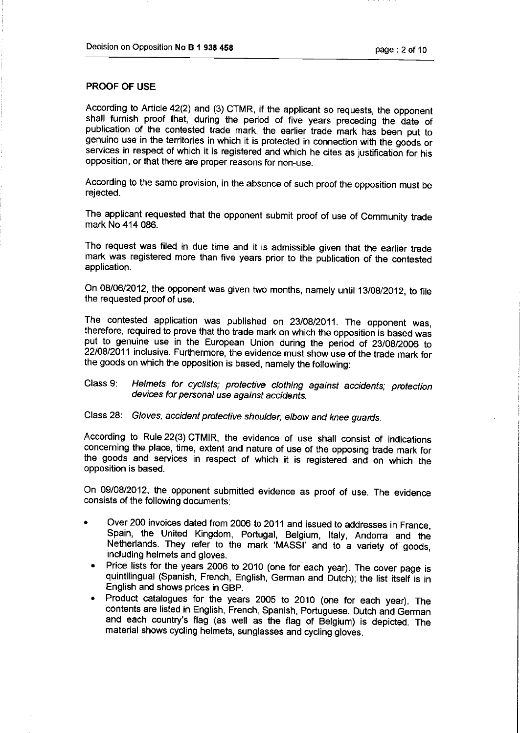# PROOF OF USE

According to Article 42(2) and (3) CTMR, if the applicant so requests, the opponent shall furnish proof that, during the period of five years preceding the date of publication of the contested trade mark, the earlier trade mark has been put to genuine use in the territories in which it is protected in connection with the goods or services in respect of which it is registered and which he cites as justification for his opposition, or that there are proper reasons for non-use.

According to the same provision, in the absence of such proof the opposition must be rejected.

The applicant requested that the opponent submit proof of use of Community trade mark No 414 086.

The request was filed in due time and it is admissible given that the earlier trade mark was registered more than five years prior to the publication of the contested application.

On 08/06/2012, the opponent was given two months, namely until 13/08/2012, to file the requested proof of use.

The contested application was published on 23/08/2011. The opponent was, therefore, required to prove that the trade mark on which the opposition is based was put to genuine use in the European Union during the period of 23/08/2006 to 22/08/201 'I inclusive. Furthermore, the evidence must show use of the trade mark for the goods on which the opposition is based, namely the following:

# Class 9: Helmets for cyclists; protective clothing against accidents; protection devices for personal use against accidents.

Class 28: Gloves, accident protective shoulder, elbow and knee guards.

According to Rule 22(3) CTMIR, the evidence of use shall consist of indications concerning the place, time, extent and nature of use of the opposing trade mark for the goods and services in respect of which it is registered and on which the opposition is based.

On 09/08/2012, the opponent submitted evidence as proof of use. The evidence consists of the following documents:

- Over 200 invoices dated from 2006 to 2011 and issued to addresses in France, Spain, the United Kingdom, Portugal, Belgium, Italy, Andorra and the Netherlands. They refer to the mark 'MASSI' and to <sup>a</sup> variety of goods, including helmets and gloves.
- Price lists for the years 2006 to 2010 (one for each year). The cover page is quintilingual (Spanish, French, English, German and Dutch); the list itself is in English and shows prices in GBP.
- <sup>ë</sup> Product catalogues for the years <sup>2005</sup> to <sup>2010</sup> (one for each year). The contents are listed in English, French, Spanish, Portuguese, Dutch and German and each country's flag (as well as the flag of Belgium) is depicted. The material shows cycling helmets, sunglasses and cycling gloves.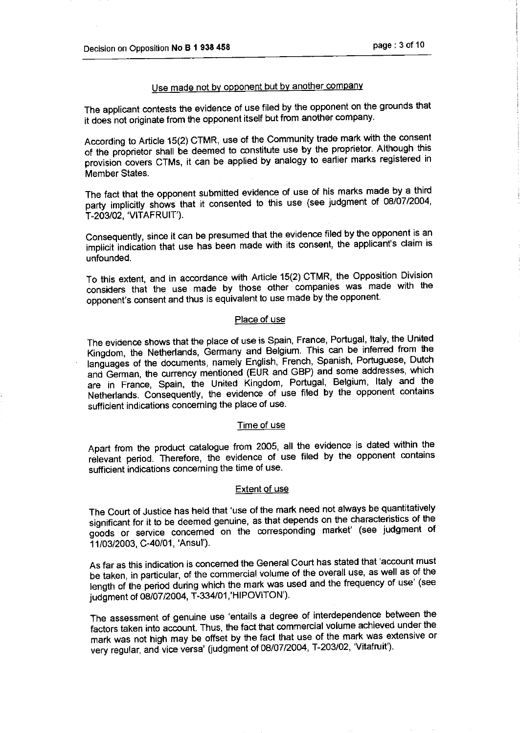# Use made not by opponent but by another company

The applicant contests the evidence of use filed by the opponent on the grounds that it does not originate from the opponent itself but from another company.

According to Article 15(2) CTMR, use of the Community trade mark with the consent of the proprietor shall be deemed to constitute use by the proprietor. Although this provision covers CTMs, it can be applied by analogy to earlier marks registered in Member States.

The fact that the opponent submitted evidence of use of his marks made by <sup>a</sup> third party implicitly shows that it consented to this use (see judgment of 08/07/2004, T-203/02, 'VITAFRUIT').

Consequently, since it can be presumed that the evidence filed by the opponent is an implicit indication that use has been made with its consent, the applicant's claim is unfounded.

To this extent, and in accordance with Article 15(2) CTMR, the Opposition Division considers that the use made by those other companies was made with the opponent's consent and thus is equivalent to use made by the opponent.

## Place of use

The evidence shows that the place of use is Spain, France, Portugal, Italy, the United Kingdom, the Netherlands, Germany and Belgium. This can be inferred from the languages of the documents, namely English, French, Spanish, Portuguese, Dutch and German, the currency mentioned (EUR and GBP) and some addresses, which are in France, Spain, the United Kingdom, Portugal, Belgium, Italy and the Netherlands. Consequently, the evidence of use filed by the opponent contains sufficient indications concerning the place of use.

#### Time of use

Apart from the product catalogue from 2005, all the evidence is dated within the relevant period. Therefore, the evidence of use filed by the opponent contains sufficient indications concerning the time of use.

#### Extent of use

The Court of Justice has held that 'use of the mark need not always be quantitatively significant for it to be deemed genuine, as that depends on the characteristics of the goods or service concerned on the corresponding market' (see judgment of 11/03/2003, C-40/01, 'Ansul').

As far as this indication is concerned the General Court has stated that 'account must be taken, in particular, of the commercial volume of the overall use, as well as of the length of the period during which the mark was used and the frequency of use' (see judgment of 08/07/2004, T-334/01,'HIPOVITON').

The assessment of genuine use 'entails <sup>a</sup> degree of interdependence between the factors taken into account. Thus, the fact that commercial volume achieved under the mark was not high may be offset by the fact that use of the mark was extensive or very regular, and vice versa' (judgment of 08/07/2004, T-203/02, 'Vitafruit').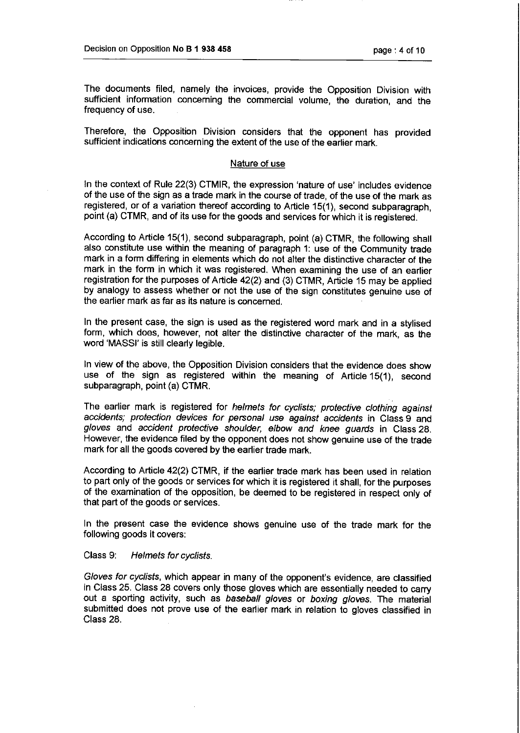The documents filed, namely the invoices, provide the Opposition Division with sufficient information concerning the commercial volume, the duration, and the frequency of use.

Therefore, the Opposition Division considers that the opponent has provided sufficient indications concerning the extent of the use of the earlier mark.

### Nature of use

In the context of Rule 22(3) CTMIR, the expression 'nature of use' includes evidence of the use of the sign as a trade mark in the course of trade, of the use of the mark as registered, or of a variation thereof according to Article 15(1), second subparagraph, point (a) CTMR, and of its use for the goods and services for which it is registered.

According to Article 15(1), second subparagraph, point (a) CTMR, the following shall also constitute use within the meaning of paragraph 1: use of the Community trade mark in a form differing in elements which do not alter the distinctive character of the mark in the form in which it was registered. When examining the use of an earlier registration for the purposes of Article 42(2) and (3) CTMR, Article 15 may be applied by analogy to assess whether or not the use of the sign constitutes genuine use of the earlier mark as far as its nature is concerned.

In the present case, the sign is used as the registered word mark and in a stylised form, which does, however, not alter the distinctive character of the mark, as the word 'MASSI' is still clearly legible.

In view of the above, the Opposition Division considers that the evidence does show use of the sign as registered within the meaning of Article 15(1), second subparagraph, point (a) CTMR.

The earlier mark is registered for helmets for cyclists; protective clothing against accidents; protection devices for personal use against accidents in Class 9 and gloves and accident protective shoulder, elbow and knee guards in C1ass28. However, the evidence filed by the opponent does not show genuine use of the trade mark for all the goods covered by the earlier trade mark.

According to Article 42(2) CTMR, if the earlier trade mark has been used in relation to part only of the goods or services for which it is registered it shall, for the purposes of the examination of the opposition, be deemed to be registered in respect only of that part of the goods or services.

In the present case the evidence shows genuine use of the trade mark for the following goods it covers:

## Class 9: Helmets for cyclists.

Gloves for cydists, which appear in many of the opponent's evidence, are classified in Class 25. Class 28 covers only those gloves which are essentially needed to carry out a sporting activity, such as baseball gloves or boxing gloves. The material submitted does not prove use of the earlier mark in relation to gloves classified in Class 28.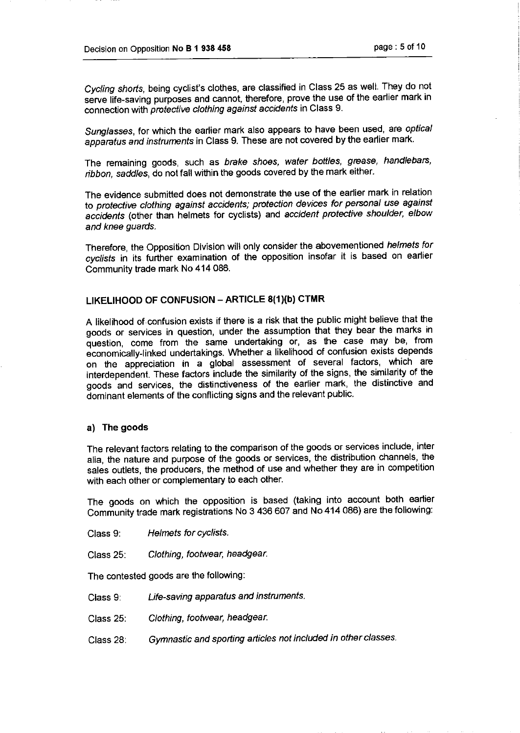Cycling shorts, being cyclist's clothes, are classified in Class 25 as well. They do not serve life-saving purposes and cannot, therefore, prove the use of the earlier mark in connection with protective clothing against accidents in Class 9.

Sunglasses, for which the earlier mark also appears to have been used, are optical apparatus and instruments in Class 9. These are not covered by the earlier mark.

The remaining goods, such as brake shoes, water bottles, grease, handlebars, ribbon, saddles, do not fall within the goods covered by the mark either.

The evidence submitted does not demonstrate the use of the earlier mark in relation to protective clothing against accidents; protection devices for personal use against accidents (other than helmets for cyclists) and accident protective shoulder, elbow and knee guards.

Therefore, the Opposition Division will only consider the abovementioned helmets for cydists in its further examination of the opposition insofar it is based on earlier Community trade mark No 414 086.

# LIKELIHOOD OF CONFuSION - ARTICLE 8(1)(b) CTMR

A likelihood of confusion exists if there is a risk that the public might believe that the goods or services in question, under the assumption that they bear the marks in question, come from the same undertaking or, as the case may be, from economically-linked undertakings. Whether a likelihood of confusion exists depends on the appreciation in a global assessment of several factors, which are interdependent. These factors include the similarity of the signs, the similarity of the goods and services, the distinctiveness of the earlier mark, the distinctive and dominant elements of the conflicting signs and the relevant public.

### a) The goods

The relevant factors relating to the comparison of the goods or services include, inter alia, the nature and purpose of the goods or services, the distribution channels, the sales outlets, the producers, the method of use and whether they are in competition with each other or complementary to each other.

The goods on which the opposition is based (taking into account both earlier Community trade mark registrations No 3 436 607 and No 414 086) are the following:

- Class 9: Helmets for cydists.
- Class 25: Clothing, footwear, headgear.

The contested goods are the following:

- Class 9: Life-saving apparatus and instruments.
- Class 25: Clothing, footwear, headgear.
- Class 28: Gymnastic and sporting articles not included in otherclasses.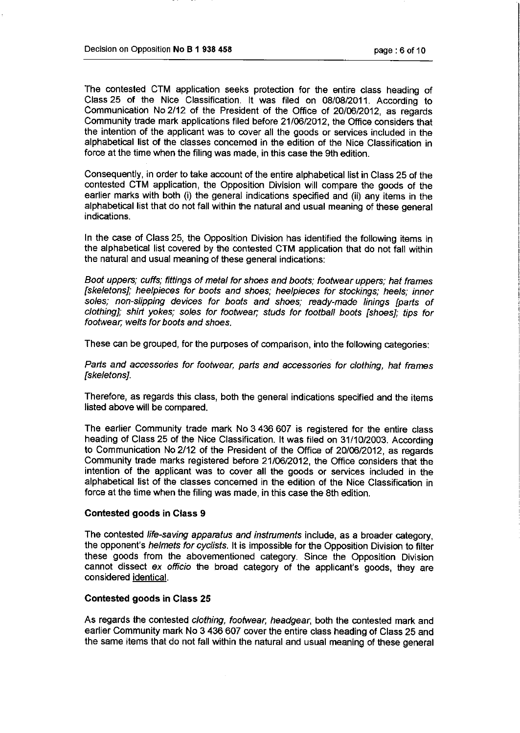The contested CTM application seeks protection for the entire class heading of Class 25 of the Nice Classification. It was filed on 08/08/2011. According to Communication No 2/12 of the President of the Office of 20/06/2012, as regards Community trade mark applications filed before 21/06/2012, the Office considers that the intention of the applicant was to cover all the goods or services included in the alphabetical list of the classes concerned in the edition of the Nice Classification in force at the time when the filing was made, in this case the 9th edition.

Consequently, in order to take account of the entire alphabetical list in Class 25 of the contested CTM application, the Opposition Division will compare the goods of the earlier marks with both (i) the general indications specified and (ii) any items in the alphabetical list that do not fall within the natural and usual meaning of these general indications.

In the case of Class 25, the Opposition Division has identified the following items in the alphabetical list covered by the contested CTM application that do not fall within the natural and usual meaning of these general indications:

Boot uppers; cuffs; fittings of metal for shoes and boots; footwear uppers; hat frames [skeletons]; heelpieces for boots and shoes; heelpieces for stockings; heels; inner soles; non-slipping devices for boots and shoes; ready-made linings [parts of clothing]; shirt yokes; soles for footwear, studs for football boots [shoes]; tips for footwear, welts for boots and shoes.

These can be grouped, for the purposes of comparison, into the following categories:

Parts and accessories for footwear, parts and accessories for clothing, hat frames [skeletons].

Therefore, as regards this class, both the general indications specified and the items listed above will be compared.

The earlier Community trade mark No 3 436 607 is registered for the entire class heading of Class 25 of the Nice Classification. It was filed on 31/10/2003. According to Communication No 2/12 of the President of the Office of 20/06/2012, as regards Community trade marks registered before 21/06/2û'12, the Office considers that the intention of the applicant was to cover all the goods or services included in the alphabetical list of the classes concerned in the edition of the Nice Classification in force at the time when the filing was made, in this case the 8th edition.

### Contested goods in Class 9

The contested life-saving apparatus and instruments include, as a broader category, the opponent's helmets for cydists. It is impossible for the Opposition Division to filter these goods from the abovementioned category. Since the Opposition Division cannot dissect ex officio the broad category of the applicant's goods, they are considered identical.

### Contested goods in Class 25

As regards the contested clothing, footwear, headgear, both the contested mark and earlier Community mark No 3 436 607 cover the entire class heading of Class 25 and the same items that do not fall within the natural and usual meaning of these general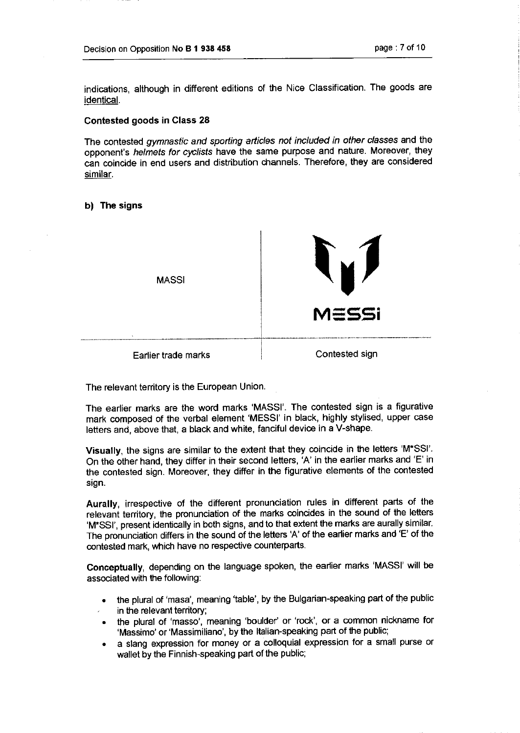indications, although in different editions of the Nice Classification. The goods are identical.

## Contested goods in Class 28

The contested gymnastic and sporting articles not included in other classes and the opponent's helmets for cydists have the same purpose and nature. Moreover, they can coincide in end users and distribution channels. Therefore, they are considered similar.

### b) The signs



The relevant territory is the European Union.

The earlier marks are the word marks 'MASSI'. The contested sign is a figurative mark composed of the verbal element 'MESSI' in black, highly stylised, upper case letters and, above that, a black and white, fanciful device in a V-shape.

Visually, the signs are similar to the extent that they coincide in the letters 'M\*SSI'. On the other hand, they differ in their second letters, 'A' in the earlier marks and 'E' in the contested sign. Moreover, they differ in the figurative elements of the contested sign.

Aurally, irrespective of the different pronunciation rules in different parts of the relevant territory, the pronunciation of the marks coincides in the sound of the letters 'M"SSI', present identically in both signs, and to that extent the marks are aurally similar. The pronunciation differs in the sound of the letters 'A' of the earlier marks and 'E' of the contested mark, which have no respective counterparts.

Conceptually, depending on the language spoken, the earlier marks 'MASSI' will be associated with the following:

- the plural of 'masa', meaning 'table', by the Bulgarian-speaking part of the public in the relevant territory;
- the plural of 'masso', meaning 'boulder' or 'rock', or a common nickname for 'Massimo' or 'Massimiliano', by the Italian-speaking part of the public;
- \* a slang expression for money or a colloquial expression for a small purse or wallet by the Finnish-speaking part of the public;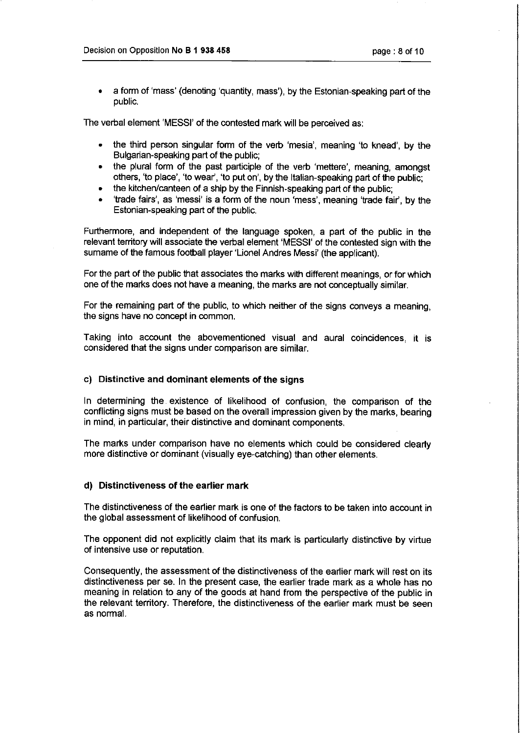\* a form of 'mass' (denoting 'quantity, mass'), by the Estonian-speaking part of the public.

The verbal element 'MESSI' of the contested mark will be perceived as:

- the third person singular form of the verb 'mesia', meaning 'to knead', by the Bulgarian-speaking part of the public;
- the plural form of the past participle of the verb 'mettere', meaning, amongst others, 'to place', 'to wear', 'to put on', by the Italian-speaking part of the public;
- the kitchen/canteen of a ship by the Finnish-speaking part of the public;
- \* 'trade fairs', as 'messi' is a form of the noun 'mess', meaning 'trade fair', by the Estonian-speaking part of the public.

Furthermore, and independent of the language spoken, a part of the public in the relevant territory will associate the verbal element 'MESSI' of the contested sign with the sumame of the famous football player 'Lionel Andres Messi' (the applicant).

For the part of the public that associates the marks with different meanings, or for which one of the marks does not have a meaning, the marks are not conceptually similar.

For the remaining part of the public, to which neither of the signs conveys a meaning, the signs have no concept in common.

Taking into account the abovementioned visual and aural coincidences, it is considered that the signs under comparison are similar.

## c) Distinctive and dominant elements of the signs

In determining the existence of likelihood of confusion, the comparison of the conflicting signs must be based on the overall impression given by the marks, bearing in mind, in particular, their distinctive and dominant components.

The marks under comparison have no elements which could be considered clearly more distinctive or dominant (visually eye-catching) than other elements.

## d) Distinctiveness of the earlier mark

The distinctiveness of the earlier mark is one of the factors to be taken into account in the global assessment of likelihood of confusion.

The opponent did not explicitly claim that its mark is particularly distinctive by virtue of intensive use or reputation.

Consequently, the assessment of the distinctiveness of the earlier mark will rest on its distinctiveness per se. In the present case, the earlier trade mark as a whole has no meaning in relation to any of the goods at hand from the perspective of the public in the relevant territory. Therefore, the distinctiveness of the earlier mark must be seen as normal.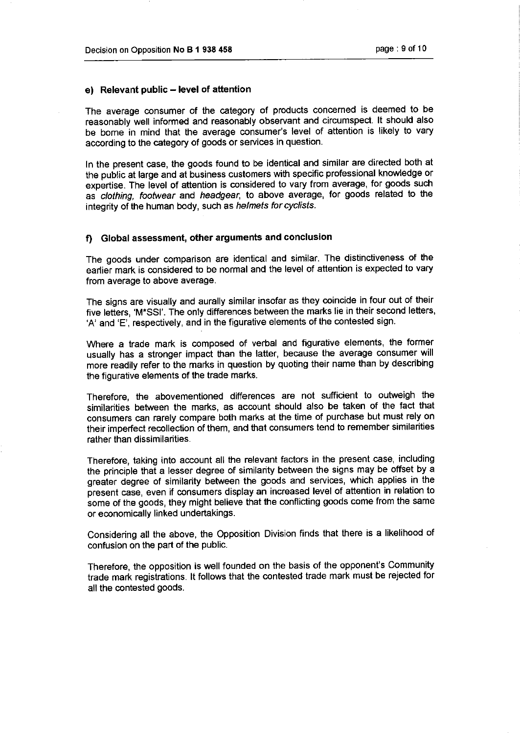### e) Relevant public – level of attention

The average consumer of the category of products concerned is deemed to be reasonably well informed and reasonably observant and circumspect. It should also be borne in mind that the average consumer's level of attention is likely to vary according to the category of goods or services in question.

In the present case, the goods found to be identical and similar are directed both at the public at large and at business customers with specific professional knowledge or expertise. The level of attention is considered to vary from average, for goods such as clothing, footwear and headgear, to above average, for goods related to the integrity of the human body, such as helmets for cydists.

### f) Global assessment, other arguments and conclusion

The goods under comparison are identical and similar. The distinctiveness of the earlier mark is considered to be normal and the level of attention is expected to vary from average to above average.

The signs are visually and aurally similar insofar as they coincide in four out of their five letters, 'M"SSI'. The only differences between the marks lie in their second letters, 'A' and 'E', respectively, and in the figurative elements of the contested sign.

Where a trade mark is composed of verbal and figurative elements, the former usually has a stronger impact than the latter, because the average consumer will more readily refer to the marks in question by quoting their name than by describing the figurative elements of the trade marks.

Therefore, the abovementioned differences are not sufficient to outweigh the similarities between the marks, as account should also be taken of the fact that consumers can rarely compare both marks at the time of purchase but must rely on their imperfect recollection of them, and that consumers tend to remember similarities rather than dissimilarities.

Therefore, taking into account all the relevant factors in the present case, including the principle that a lesser degree of similarity between the signs may be offset by a greater degree of similarity between the goods and services, which applies in the present case, even if consumers display an increased level of attention in relation to some of the goods, they might believe that the conflicting goods come from the same or economically linked undertakings.

Considering all the above, the Opposition Division finds that there is a likelihood of confusion on the part of the public.

Therefore, the opposition is well founded on the basis of the opponent's Community trade mark registrations. It follows that the contested trade mark must be rejected for all the contested goods.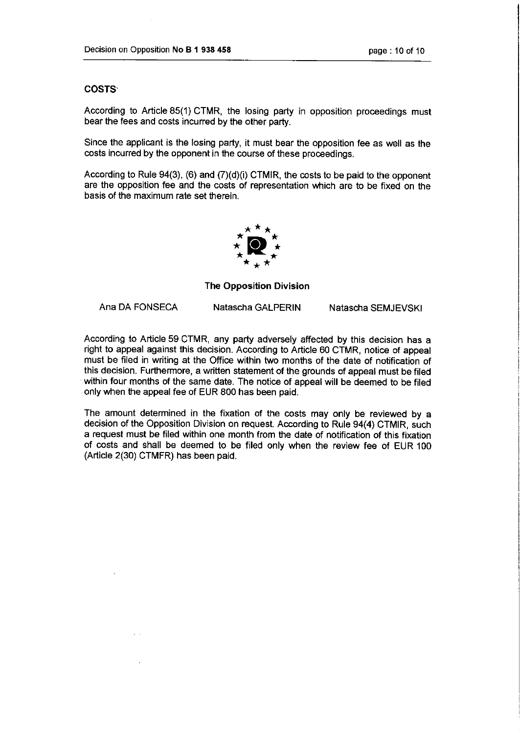## **COSTS**

According to Article 85(1) CTMR, the losing party in opposition proceedings must bear the fees and costs incurred by the other party.

Since the applicant is the losing party, it must bear the opposition fee as well as the costs incurred by the opponent in the course of these proceedings.

According to Rule 94(3), (6) and (7)(d)(i) CTMIR, the costs to be paid to the opponent are the opposition fee and the costs of representation which are to be fixed on the basis of the maximum rate set therein.



## The Opposition Division

Ana DA FONSECA Natascha GALPERIN Natascha SEMJEVSKI

According to Article 59 CTMR, any party adversely affected by this decision has a right to appeal against this decision. According to Article 60 CTMR, notice of appeal must be filed in writing at the Office within two months of the date of notification of this decision. Furthermore, a written statement of the grounds of appeal must be filed within four months of the same date. The notice of appeal will be deemed to be filed only when the appeal fee of EUR 800 has been paid.

The amount determined in the fixation of the costs may only be reviewed by a decision of the Opposition Division on request. According to Rule 94(4) CTMIR, such a request must be filed within one month from the date of notification of this fixation of costs and shall be deemed to be filed only when the review fee of EUR 100 (Article 2(30) CTMFR) has been paid.